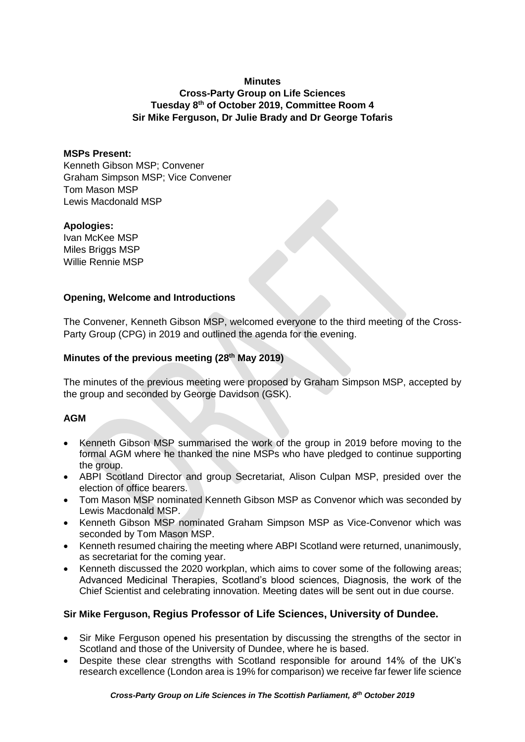#### **Minutes**

# **Cross-Party Group on Life Sciences Tuesday 8 th of October 2019, Committee Room 4 Sir Mike Ferguson, Dr Julie Brady and Dr George Tofaris**

#### **MSPs Present:**

Kenneth Gibson MSP; Convener Graham Simpson MSP; Vice Convener Tom Mason MSP Lewis Macdonald MSP

#### **Apologies:**

Ivan McKee MSP Miles Briggs MSP Willie Rennie MSP

### **Opening, Welcome and Introductions**

The Convener, Kenneth Gibson MSP, welcomed everyone to the third meeting of the Cross-Party Group (CPG) in 2019 and outlined the agenda for the evening.

### **Minutes of the previous meeting (28th May 2019)**

The minutes of the previous meeting were proposed by Graham Simpson MSP, accepted by the group and seconded by George Davidson (GSK).

### **AGM**

- Kenneth Gibson MSP summarised the work of the group in 2019 before moving to the formal AGM where he thanked the nine MSPs who have pledged to continue supporting the group.
- ABPI Scotland Director and group Secretariat, Alison Culpan MSP, presided over the election of office bearers.
- Tom Mason MSP nominated Kenneth Gibson MSP as Convenor which was seconded by Lewis Macdonald MSP.
- Kenneth Gibson MSP nominated Graham Simpson MSP as Vice-Convenor which was seconded by Tom Mason MSP.
- Kenneth resumed chairing the meeting where ABPI Scotland were returned, unanimously, as secretariat for the coming year.
- Kenneth discussed the 2020 workplan, which aims to cover some of the following areas; Advanced Medicinal Therapies, Scotland's blood sciences, Diagnosis, the work of the Chief Scientist and celebrating innovation. Meeting dates will be sent out in due course.

### **Sir Mike Ferguson, Regius Professor of Life Sciences, University of Dundee.**

- Sir Mike Ferguson opened his presentation by discussing the strengths of the sector in Scotland and those of the University of Dundee, where he is based.
- Despite these clear strengths with Scotland responsible for around 14% of the UK's research excellence (London area is 19% for comparison) we receive far fewer life science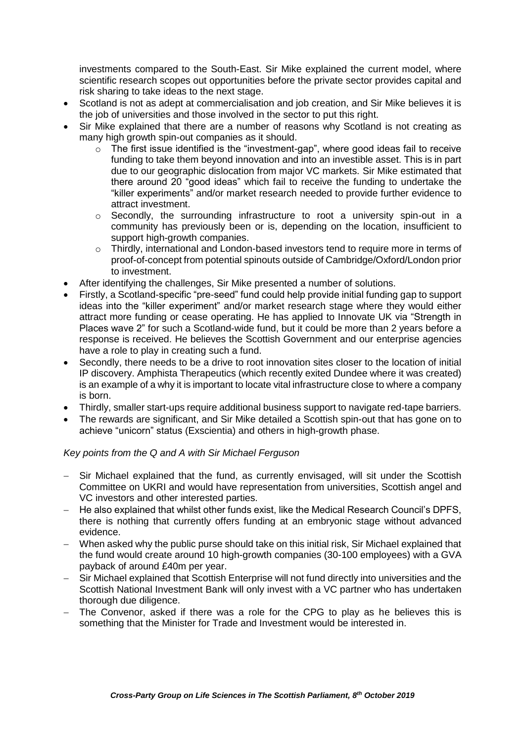investments compared to the South-East. Sir Mike explained the current model, where scientific research scopes out opportunities before the private sector provides capital and risk sharing to take ideas to the next stage.

- Scotland is not as adept at commercialisation and job creation, and Sir Mike believes it is the job of universities and those involved in the sector to put this right.
- Sir Mike explained that there are a number of reasons why Scotland is not creating as many high growth spin-out companies as it should.
	- o The first issue identified is the "investment-gap", where good ideas fail to receive funding to take them beyond innovation and into an investible asset. This is in part due to our geographic dislocation from major VC markets. Sir Mike estimated that there around 20 "good ideas" which fail to receive the funding to undertake the "killer experiments" and/or market research needed to provide further evidence to attract investment.
	- $\circ$  Secondly, the surrounding infrastructure to root a university spin-out in a community has previously been or is, depending on the location, insufficient to support high-growth companies.
	- o Thirdly, international and London-based investors tend to require more in terms of proof-of-concept from potential spinouts outside of Cambridge/Oxford/London prior to investment.
- After identifying the challenges, Sir Mike presented a number of solutions.
- Firstly, a Scotland-specific "pre-seed" fund could help provide initial funding gap to support ideas into the "killer experiment" and/or market research stage where they would either attract more funding or cease operating. He has applied to Innovate UK via "Strength in Places wave 2" for such a Scotland-wide fund, but it could be more than 2 years before a response is received. He believes the Scottish Government and our enterprise agencies have a role to play in creating such a fund.
- Secondly, there needs to be a drive to root innovation sites closer to the location of initial IP discovery. Amphista Therapeutics (which recently exited Dundee where it was created) is an example of a why it is important to locate vital infrastructure close to where a company is born.
- Thirdly, smaller start-ups require additional business support to navigate red-tape barriers.
- The rewards are significant, and Sir Mike detailed a Scottish spin-out that has gone on to achieve "unicorn" status (Exscientia) and others in high-growth phase.

# *Key points from the Q and A with Sir Michael Ferguson*

- Sir Michael explained that the fund, as currently envisaged, will sit under the Scottish Committee on UKRI and would have representation from universities, Scottish angel and VC investors and other interested parties.
- − He also explained that whilst other funds exist, like the Medical Research Council's DPFS, there is nothing that currently offers funding at an embryonic stage without advanced evidence.
- − When asked why the public purse should take on this initial risk, Sir Michael explained that the fund would create around 10 high-growth companies (30-100 employees) with a GVA payback of around £40m per year.
- − Sir Michael explained that Scottish Enterprise will not fund directly into universities and the Scottish National Investment Bank will only invest with a VC partner who has undertaken thorough due diligence.
- − The Convenor, asked if there was a role for the CPG to play as he believes this is something that the Minister for Trade and Investment would be interested in.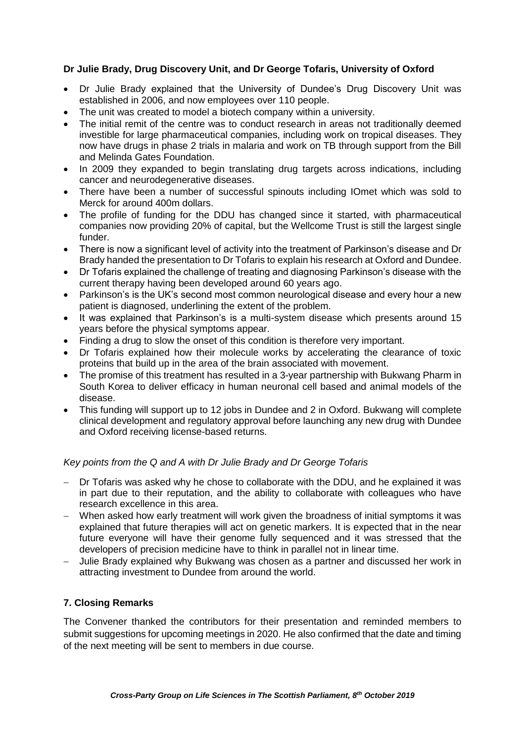## **Dr Julie Brady, Drug Discovery Unit, and Dr George Tofaris, University of Oxford**

- Dr Julie Brady explained that the University of Dundee's Drug Discovery Unit was established in 2006, and now employees over 110 people.
- The unit was created to model a biotech company within a university.
- The initial remit of the centre was to conduct research in areas not traditionally deemed investible for large pharmaceutical companies, including work on tropical diseases. They now have drugs in phase 2 trials in malaria and work on TB through support from the Bill and Melinda Gates Foundation.
- In 2009 they expanded to begin translating drug targets across indications, including cancer and neurodegenerative diseases.
- There have been a number of successful spinouts including IOmet which was sold to Merck for around 400m dollars.
- The profile of funding for the DDU has changed since it started, with pharmaceutical companies now providing 20% of capital, but the Wellcome Trust is still the largest single funder.
- There is now a significant level of activity into the treatment of Parkinson's disease and Dr Brady handed the presentation to Dr Tofaris to explain his research at Oxford and Dundee.
- Dr Tofaris explained the challenge of treating and diagnosing Parkinson's disease with the current therapy having been developed around 60 years ago.
- Parkinson's is the UK's second most common neurological disease and every hour a new patient is diagnosed, underlining the extent of the problem.
- It was explained that Parkinson's is a multi-system disease which presents around 15 years before the physical symptoms appear.
- Finding a drug to slow the onset of this condition is therefore very important.
- Dr Tofaris explained how their molecule works by accelerating the clearance of toxic proteins that build up in the area of the brain associated with movement.
- The promise of this treatment has resulted in a 3-year partnership with Bukwang Pharm in South Korea to deliver efficacy in human neuronal cell based and animal models of the disease.
- This funding will support up to 12 jobs in Dundee and 2 in Oxford. Bukwang will complete clinical development and regulatory approval before launching any new drug with Dundee and Oxford receiving license-based returns.

### *Key points from the Q and A with Dr Julie Brady and Dr George Tofaris*

- Dr Tofaris was asked why he chose to collaborate with the DDU, and he explained it was in part due to their reputation, and the ability to collaborate with colleagues who have research excellence in this area.
- − When asked how early treatment will work given the broadness of initial symptoms it was explained that future therapies will act on genetic markers. It is expected that in the near future everyone will have their genome fully sequenced and it was stressed that the developers of precision medicine have to think in parallel not in linear time.
- − Julie Brady explained why Bukwang was chosen as a partner and discussed her work in attracting investment to Dundee from around the world.

# **7. Closing Remarks**

The Convener thanked the contributors for their presentation and reminded members to submit suggestions for upcoming meetings in 2020. He also confirmed that the date and timing of the next meeting will be sent to members in due course.